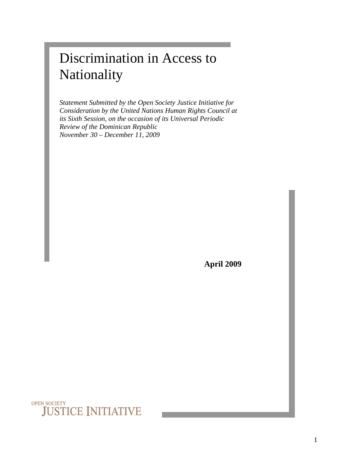# Discrimination in Access to Nationality

*Statement Submitted by the Open Society Justice Initiative for Consideration by the United Nations Human Rights Council at its Sixth Session, on the occasion of its Universal Periodic Review of the Dominican Republic November 30 – December 11, 2009* 

**April 2009**

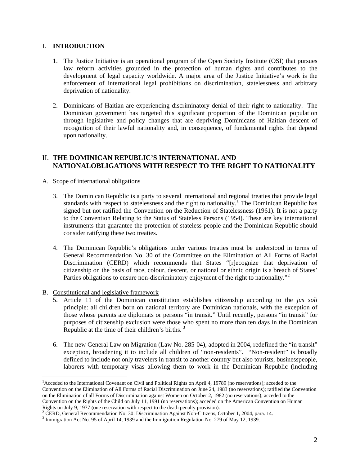#### I. **INTRODUCTION**

- 1. The Justice Initiative is an operational program of the Open Society Institute (OSI) that pursues law reform activities grounded in the protection of human rights and contributes to the development of legal capacity worldwide. A major area of the Justice Initiative's work is the enforcement of international legal prohibitions on discrimination, statelessness and arbitrary deprivation of nationality.
- 2. Dominicans of Haitian are experiencing discriminatory denial of their right to nationality. The Dominican government has targeted this significant proportion of the Dominican population through legislative and policy changes that are depriving Dominicans of Haitian descent of recognition of their lawful nationality and, in consequence, of fundamental rights that depend upon nationality.

### II. **THE DOMINICAN REPUBLIC'S INTERNATIONAL AND NATIONALOBLIGATIONS WITH RESPECT TO THE RIGHT TO NATIONALITY**

#### A. Scope of international obligations

- 3. The Dominican Republic is a party to several international and regional treaties that provide legal standards with respect to statelessness and the right to nationality.<sup>[1](#page-1-0)</sup> The Dominican Republic has signed but not ratified the Convention on the Reduction of Statelessness (1961). It is not a party to the Convention Relating to the Status of Stateless Persons (1954). These are key international instruments that guarantee the protection of stateless people and the Dominican Republic should consider ratifying these two treaties.
- 4. The Dominican Republic's obligations under various treaties must be understood in terms of General Recommendation No. 30 of the Committee on the Elimination of All Forms of Racial Discrimination (CERD) which recommends that States "[r]ecognize that deprivation of citizenship on the basis of race, colour, descent, or national or ethnic origin is a breach of States' Parties obligations to ensure non-discriminatory enjoyment of the right to nationality."<sup>[2](#page-1-1)</sup>
- B. Constitutional and legislative framework

- 5. Article 11 of the Dominican constitution establishes citizenship according to the *jus soli* principle: all children born on national territory are Dominican nationals, with the exception of those whose parents are diplomats or persons "in transit." Until recently, persons "in transit" for purposes of citizenship exclusion were those who spent no more than ten days in the Dominican Republic at the time of their children's births.  $3$
- 6. The new General Law on Migration (Law No. 285-04), adopted in 2004, redefined the "in transit" exception, broadening it to include all children of "non-residents". "Non-resident" is broadly defined to include not only travelers in transit to another country but also tourists, businesspeople, laborers with temporary visas allowing them to work in the Dominican Republic (including

<span id="page-1-0"></span><sup>&</sup>lt;sup>1</sup> Acceded to the International Covenant on Civil and Political Rights on April 4, 19789 (no reservations); acceded to the Convention on the Elimination of All Forms of Racial Discrimination on June 24, 1983 (no reservations); ratified the Convention on the Elimination of all Forms of Discrimination against Women on October 2, 1982 (no reservations); acceded to the Convention on the Rights of the Child on July 11, 1991 (no reservations); acceded on the American Convention on Human Rights on July 9, 1977 (one reservation with respect to the death penalty provision). 2

<span id="page-1-1"></span> $2$  CERD, General Recommendation No. 30: Discrimination Against Non-Citizens, October 1, 2004, para. 14.

<span id="page-1-2"></span><sup>&</sup>lt;sup>3</sup> Immigration Act No. 95 of April 14, 1939 and the Immigration Regulation No. 279 of May 12, 1939.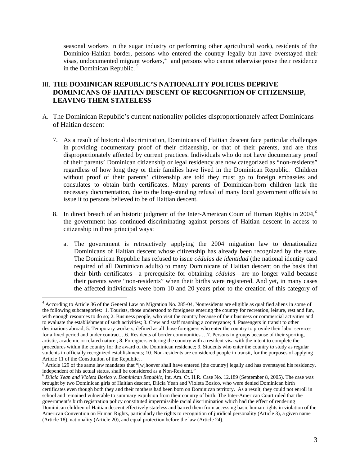seasonal workers in the sugar industry or performing other agricultural work), residents of the Dominico-Haitian border, persons who entered the country legally but have overstayed their visas, undocumented migrant workers, $4$  and persons who cannot otherwise prove their residence in the Dominican Republic. [5](#page-2-1)

## III. **THE DOMINICAN REPUBLIC'S NATIONALITY POLICIES DEPRIVE DOMINICANS OF HAITIAN DESCENT OF RECOGNITION OF CITIZENSHIP, LEAVING THEM STATELESS**

- A. The Dominican Republic's current nationality policies disproportionately affect Dominicans of Haitian descent
	- 7. As a result of historical discrimination, Dominicans of Haitian descent face particular challenges in providing documentary proof of their citizenship, or that of their parents, and are thus disproportionately affected by current practices. Individuals who do not have documentary proof of their parents' Dominican citizenship or legal residency are now categorized as "non-residents" regardless of how long they or their families have lived in the Dominican Republic. Children without proof of their parents' citizenship are told they must go to foreign embassies and consulates to obtain birth certificates. Many parents of Dominican-born children lack the necessary documentation, due to the long-standing refusal of many local government officials to issue it to persons believed to be of Haitian descent.
	- 8. In direct breach of an historic judgment of the Inter-American Court of Human Rights in 2004,<sup>[6](#page-2-2)</sup> the government has continued discriminating against persons of Haitian descent in access to citizenship in three principal ways:
		- a. The government is retroactively applying the 2004 migration law to denationalize Dominicans of Haitian descent whose citizenship has already been recognized by the state. The Dominican Republic has refused to issue *cédulas de identidad* (the national identity card required of all Dominican adults) to many Dominicans of Haitian descent on the basis that their birth certificates—a prerequisite for obtaining *cédulas*—are no longer valid because their parents were "non-residents" when their births were registered. And yet, in many cases the affected individuals were born 10 and 20 years prior to the creation of this category of

<span id="page-2-0"></span><sup>4</sup> According to Article 36 of the General Law on Migration No. 285-04, Nonresidents are eligible as qualified aliens in some of the following subcategories: 1. Tourists, those understood to foreigners entering the country for recreation, leisure, rest and fun, with enough resources to do so; 2. Business people, who visit the country because of their business or commercial activities and to evaluate the establishment of such activities; 3. Crew and staff manning a conveyance; 4. Passengers in transit to other destinations abroad; 5. Temporary workers, defined as all those foreigners who enter the country to provide their labor services for a fixed period and under contract…6. Residents of border communities …7. Persons in groups because of their sporting, artistic, academic or related nature.; 8. Foreigners entering the country with a resident visa with the intent to complete the procedures within the country for the award of the Dominican residence; 9. Students who enter the country to study as regular students in officially recognized establishments; 10. Non-residents are considered people in transit, for the purposes of applying Article 11 of the Constitution of the Republic. .

<span id="page-2-1"></span> $<sup>5</sup>$  Article 129 of the same law mandates that "[w]hoever shall have entered [the country] legally and has overstayed his residency,</sup> independent of his actual status, shall be considered as a Non-Resident." 6 *Dilcia Yean and Violeta Bosico v. Dominican Republic,* Int. Am. Ct. H.R. Case No. 12.189 (September 8, 2005). The case was

<span id="page-2-2"></span>brought by two Dominican girls of Haitian descent, Dilcia Yean and Violeta Bosico, who were denied Dominican birth certificates even though both they and their mothers had been born on Dominican territory. As a result, they could not enroll in school and remained vulnerable to summary expulsion from their country of birth. The Inter-American Court ruled that the government's birth registration policy constituted impermissible racial discrimination which had the effect of rendering Dominican children of Haitian descent effectively stateless and barred them from accessing basic human rights in violation of the American Convention on Human Rights, particularly the rights to recognition of juridical personality (Article 3), a given name (Article 18), nationality (Article 20), and equal protection before the law (Article 24).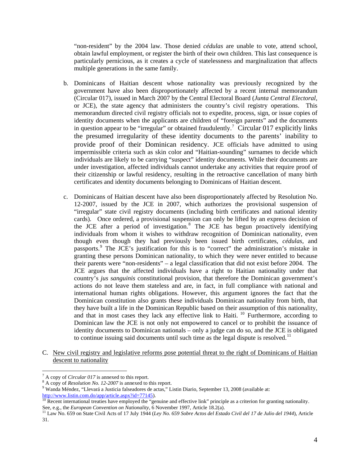"non-resident" by the 2004 law. Those denied *cédulas* are unable to vote, attend school, obtain lawful employment, or register the birth of their own children. This last consequence is particularly pernicious, as it creates a cycle of statelessness and marginalization that affects multiple generations in the same family.

- b. Dominicans of Haitian descent whose nationality was previously recognized by the government have also been disproportionately affected by a recent internal memorandum (Circular 017), issued in March 2007 by the Central Electoral Board (*Junta Central Electoral,* or JCE), the state agency that administers the country's civil registry operations. This memorandum directed civil registry officials not to expedite, process, sign, or issue copies of identity documents when the applicants are children of "foreign parents" and the documents in question appear to be "irregular" or obtained fraudulently.<sup>[7](#page-3-0)</sup> Circular 017 explicitly links the presumed irregularity of these identity documents to the parents' inability to provide proof of their Dominican residency. JCE officials have admitted to using impermissible criteria such as skin color and "Haitian-sounding" surnames to decide which individuals are likely to be carrying "suspect" identity documents. While their documents are under investigation, affected individuals cannot undertake any activities that require proof of their citizenship or lawful residency, resulting in the retroactive cancellation of many birth certificates and identity documents belonging to Dominicans of Haitian descent.
- c. Dominicans of Haitian descent have also been disproportionately affected by Resolution No. 12-2007, issued by the JCE in 2007, which authorizes the provisional suspension of "irregular" state civil registry documents (including birth certificates and national identity cards). Once ordered, a provisional suspension can only be lifted by an express decision of the JCE after a period of investigation.<sup>[8](#page-3-1)</sup> The JCE has begun proactively identifying individuals from whom it wishes to withdraw recognition of Dominican nationality, even though even though they had previously been issued birth certificates, *cédulas*, and passports.<sup>[9](#page-3-2)</sup> The JCE's justification for this is to "correct" the administration's mistake in granting these persons Dominican nationality, to which they were never entitled to because their parents were "non-residents" – a legal classification that did not exist before 2004. The JCE argues that the affected individuals have a right to Haitian nationality under that country's *jus sanguinis* constitutional provision, that therefore the Dominican government's actions do not leave them stateless and are, in fact, in full compliance with national and international human rights obligations. However, this argument ignores the fact that the Dominican constitution also grants these individuals Dominican nationality from birth, that they have built a life in the Dominican Republic based on their assumption of this nationality, and that in most cases they lack any effective link to Haiti.  $10$  Furthermore, according to Dominican law the JCE is not only not empowered to cancel or to prohibit the issuance of identity documents to Dominican nationals – only a judge can do so, and the JCE is obligated to continue issuing said documents until such time as the legal dispute is resolved.<sup>[11](#page-3-4)</sup>
- C. New civil registry and legislative reforms pose potential threat to the right of Dominicans of Haitian descent to nationality

<span id="page-3-0"></span><sup>&</sup>lt;sup>7</sup> A copy of *Circular 017* is annexed to this report.

<span id="page-3-1"></span><sup>&</sup>lt;sup>8</sup> A copy of *Resolution No. 12-2007* is annexed to this report.

Wanda Méndez, "Llevará a Justicia falseadores de actas," Listin Diario, September 13, 2008 (available at:

<span id="page-3-3"></span><span id="page-3-2"></span><http://www.listin.com.do/app/article.aspx?id=77145>).<br><sup>[10](http://www.listin.com.do/app/article.aspx?id=77145)</sup> Recent international treaties have employed the "genuine and effective link" principle as a criterion for granting nationality. See, e.g., the European Convention on Nationality, 6 November 1997, Article 18.2(a).<br><sup>11</sup> Law No. 659 on State Civil Acts of 17 July 1944 (Ley No. 659 Sobre Actos del Estado Civil del 17 de Julio del 1944), Article

<span id="page-3-4"></span><sup>31.</sup>